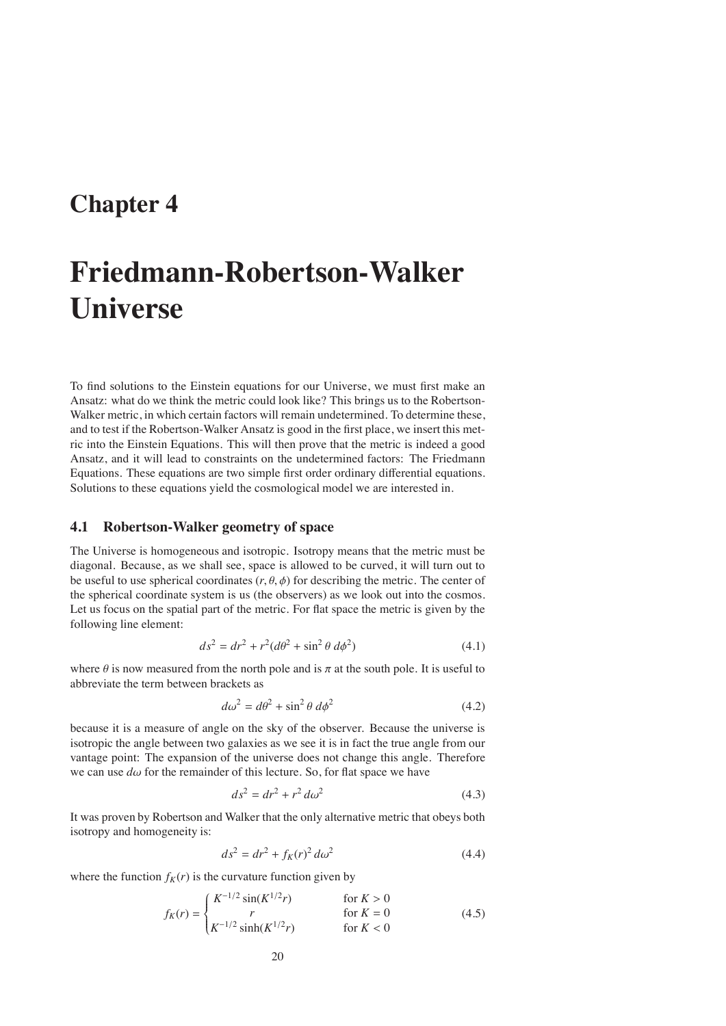# **Chapter 4**

# **Friedmann-Robertson-Walker Universe**

To find solutions to the Einstein equations for our Universe, we must first make an Ansatz: what do we think the metric could look like? This brings us to the Robertson-Walker metric, in which certain factors will remain undetermined. To determine these, and to test if the Robertson-Walker Ansatz is good in the first place, we insert this metric into the Einstein Equations. This will then prove that the metric is indeed a good Ansatz, and it will lead to constraints on the undetermined factors: The Friedmann Equations. These equations are two simple first order ordinary differential equations. Solutions to these equations yield the cosmological model we are interested in.

# **4.1 Robertson-Walker geometry of space**

The Universe is homogeneous and isotropic. Isotropy means that the metric must be diagonal. Because, as we shall see, space is allowed to be curved, it will turn out to be useful to use spherical coordinates  $(r, \theta, \phi)$  for describing the metric. The center of the spherical coordinate system is us (the observers) as we look out into the cosmos. Let us focus on the spatial part of the metric. For flat space the metric is given by the following line element:

$$
ds^{2} = dr^{2} + r^{2}(d\theta^{2} + \sin^{2}\theta \, d\phi^{2})
$$
\n(4.1)

where  $\theta$  is now measured from the north pole and is  $\pi$  at the south pole. It is useful to abbreviate the term between brackets as

$$
d\omega^2 = d\theta^2 + \sin^2 \theta \, d\phi^2 \tag{4.2}
$$

because it is a measure of angle on the sky of the observer. Because the universe is isotropic the angle between two galaxies as we see it is in fact the true angle from our vantage point: The expansion of the universe does not change this angle. Therefore we can use  $d\omega$  for the remainder of this lecture. So, for flat space we have

$$
ds^2 = dr^2 + r^2 d\omega^2 \tag{4.3}
$$

It was proven by Robertson and Walker that the only alternative metric that obeys both isotropy and homogeneity is:

$$
ds^2 = dr^2 + f_K(r)^2 \, d\omega^2 \tag{4.4}
$$

where the function  $f_K(r)$  is the curvature function given by

$$
f_K(r) = \begin{cases} K^{-1/2} \sin(K^{1/2}r) & \text{for } K > 0\\ r & \text{for } K = 0\\ K^{-1/2} \sinh(K^{1/2}r) & \text{for } K < 0 \end{cases}
$$
(4.5)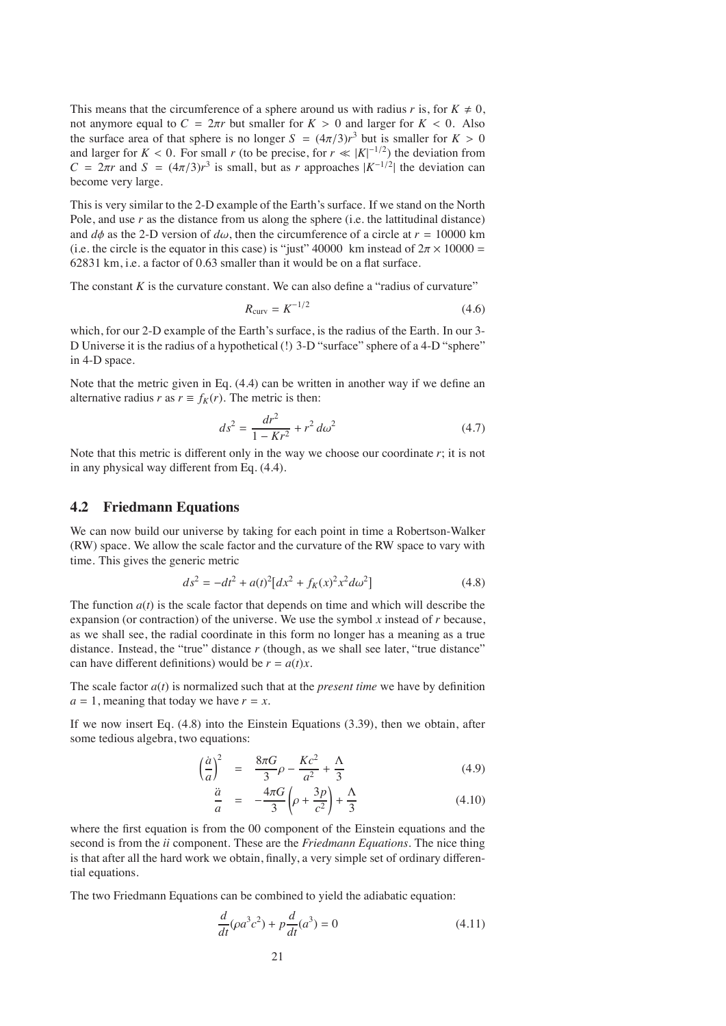This means that the circumference of a sphere around us with radius *r* is, for  $K \neq 0$ , not anymore equal to  $C = 2\pi r$  but smaller for  $K > 0$  and larger for  $K < 0$ . Also the surface area of that sphere is no longer  $S = (4\pi/3)r^3$  but is smaller for  $K > 0$ and larger for  $K < 0$ . For small *r* (to be precise, for  $r \ll |K|^{-1/2}$ ) the deviation from  $C = 2\pi r$  and  $S = (4\pi/3)r^3$  is small, but as *r* approaches  $|K^{-1/2}|$  the deviation can become very large.

This is very similar to the 2-D example of the Earth's surface. If we stand on the North Pole, and use *r* as the distance from us along the sphere (i.e. the lattitudinal distance) and  $d\phi$  as the 2-D version of  $d\omega$ , then the circumference of a circle at  $r = 10000$  km (i.e. the circle is the equator in this case) is "just" 40000 km instead of  $2\pi \times 10000 =$ 62831 km, i.e. a factor of 0.63 smaller than it would be on a flat surface.

The constant  $K$  is the curvature constant. We can also define a "radius of curvature"

$$
R_{\text{curv}} = K^{-1/2} \tag{4.6}
$$

which, for our 2-D example of the Earth's surface, is the radius of the Earth. In our 3- D Universe it is the radius of a hypothetical (!) 3-D "surface" sphere of a 4-D "sphere" in 4-D space.

Note that the metric given in Eq. (4.4) can be written in another way if we define an alternative radius *r* as  $r \equiv f_K(r)$ . The metric is then:

$$
ds^2 = \frac{dr^2}{1 - Kr^2} + r^2 d\omega^2
$$
 (4.7)

Note that this metric is different only in the way we choose our coordinate *r*; it is not in any physical way different from Eq. (4.4).

## **4.2 Friedmann Equations**

We can now build our universe by taking for each point in time a Robertson-Walker (RW) space. We allow the scale factor and the curvature of the RW space to vary with time. This gives the generic metric

$$
ds^{2} = -dt^{2} + a(t)^{2} \left[ dx^{2} + f_{K}(x)^{2} x^{2} d\omega^{2} \right]
$$
 (4.8)

The function  $a(t)$  is the scale factor that depends on time and which will describe the expansion (or contraction) of the universe. We use the symbol *x* instead of *r* because, as we shall see, the radial coordinate in this form no longer has a meaning as a true distance. Instead, the "true" distance *r* (though, as we shall see later, "true distance" can have different definitions) would be  $r = a(t)x$ .

The scale factor  $a(t)$  is normalized such that at the *present time* we have by definition  $a = 1$ , meaning that today we have  $r = x$ .

If we now insert Eq. (4.8) into the Einstein Equations (3.39), then we obtain, after some tedious algebra, two equations:

$$
\left(\frac{\dot{a}}{a}\right)^2 = \frac{8\pi G}{3}\rho - \frac{Kc^2}{a^2} + \frac{\Lambda}{3}
$$
\n(4.9)

$$
\frac{\ddot{a}}{a} = -\frac{4\pi G}{3} \left( \rho + \frac{3p}{c^2} \right) + \frac{\Lambda}{3}
$$
\n(4.10)

where the first equation is from the 00 component of the Einstein equations and the second is from the *ii* component. These are the *Friedmann Equations*. The nice thing is that after all the hard work we obtain, finally, a very simple set of ordinary differential equations.

The two Friedmann Equations can be combined to yield the adiabatic equation:

$$
\frac{d}{dt}(\rho a^3 c^2) + p\frac{d}{dt}(a^3) = 0\tag{4.11}
$$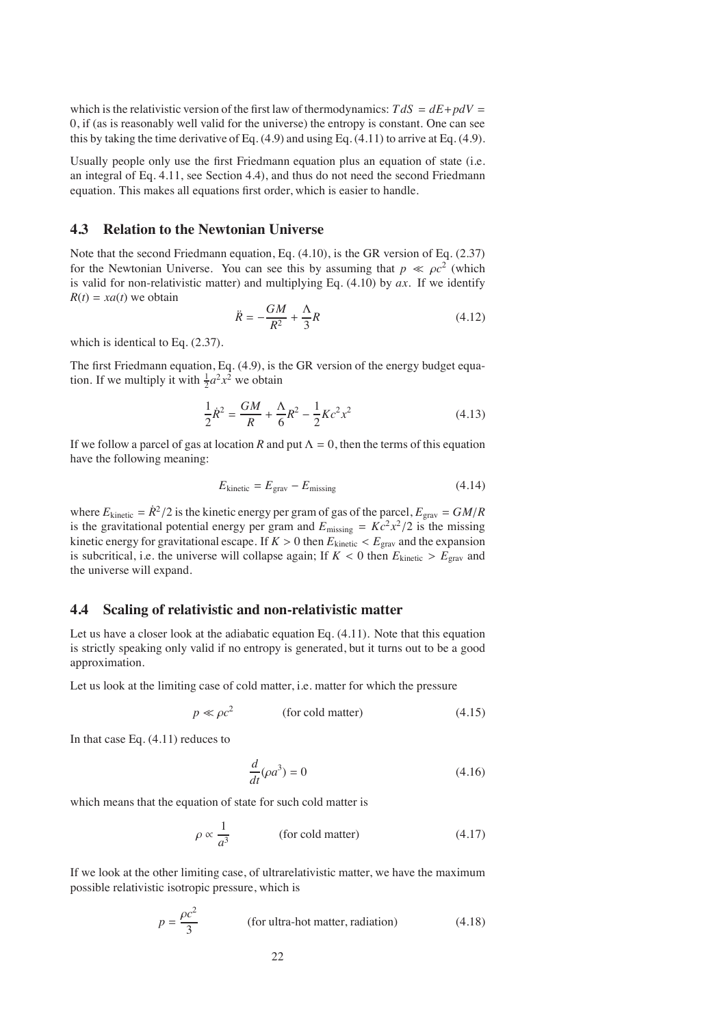which is the relativistic version of the first law of thermodynamics:  $T dS = dE + pdV =$ 0, if (as is reasonably well valid for the universe) the entropy is constant. One can see this by taking the time derivative of Eq.  $(4.9)$  and using Eq.  $(4.11)$  to arrive at Eq.  $(4.9)$ .

Usually people only use the first Friedmann equation plus an equation of state (i.e. an integral of Eq. 4.11, see Section 4.4), and thus do not need the second Friedmann equation. This makes all equations first order, which is easier to handle.

# **4.3 Relation to the Newtonian Universe**

Note that the second Friedmann equation, Eq. (4.10), is the GR version of Eq. (2.37) for the Newtonian Universe. You can see this by assuming that  $p \ll \rho c^2$  (which is valid for non-relativistic matter) and multiplying Eq. (4.10) by *ax*. If we identify  $R(t) = xa(t)$  we obtain

$$
\ddot{R} = -\frac{GM}{R^2} + \frac{\Lambda}{3}R\tag{4.12}
$$

which is identical to Eq. (2.37).

The first Friedmann equation, Eq. (4.9), is the GR version of the energy budget equation. If we multiply it with  $\frac{1}{2}a^2x^2$  we obtain

$$
\frac{1}{2}\dot{R}^2 = \frac{GM}{R} + \frac{\Lambda}{6}R^2 - \frac{1}{2}Kc^2x^2\tag{4.13}
$$

If we follow a parcel of gas at location *R* and put  $\Lambda = 0$ , then the terms of this equation have the following meaning:

$$
E_{\text{kinetic}} = E_{\text{grav}} - E_{\text{missing}} \tag{4.14}
$$

where  $E_{\text{kinetic}} = \dot{R}^2/2$  is the kinetic energy per gram of gas of the parcel,  $E_{\text{grav}} = GM/R$ is the gravitational potential energy per gram and  $E_{\text{missing}} = Kc^2x^2/2$  is the missing kinetic energy for gravitational escape. If  $K > 0$  then  $E_{\text{kinetic}} < E_{\text{grav}}$  and the expansion is subcritical, i.e. the universe will collapse again; If  $K < 0$  then  $E_{\text{kinetic}} > E_{\text{grav}}$  and the universe will expand.

# **4.4 Scaling of relativistic and non-relativistic matter**

Let us have a closer look at the adiabatic equation Eq. (4.11). Note that this equation is strictly speaking only valid if no entropy is generated, but it turns out to be a good approximation.

Let us look at the limiting case of cold matter, i.e. matter for which the pressure

$$
p \ll \rho c^2 \qquad \qquad \text{(for cold matter)} \tag{4.15}
$$

In that case Eq. (4.11) reduces to

$$
\frac{d}{dt}(\rho a^3) = 0\tag{4.16}
$$

which means that the equation of state for such cold matter is

$$
\rho \propto \frac{1}{a^3} \qquad \qquad \text{(for cold matter)} \tag{4.17}
$$

If we look at the other limiting case, of ultrarelativistic matter, we have the maximum possible relativistic isotropic pressure, which is

$$
p = \frac{\rho c^2}{3}
$$
 (for ultra-hot matter, radiation) (4.18)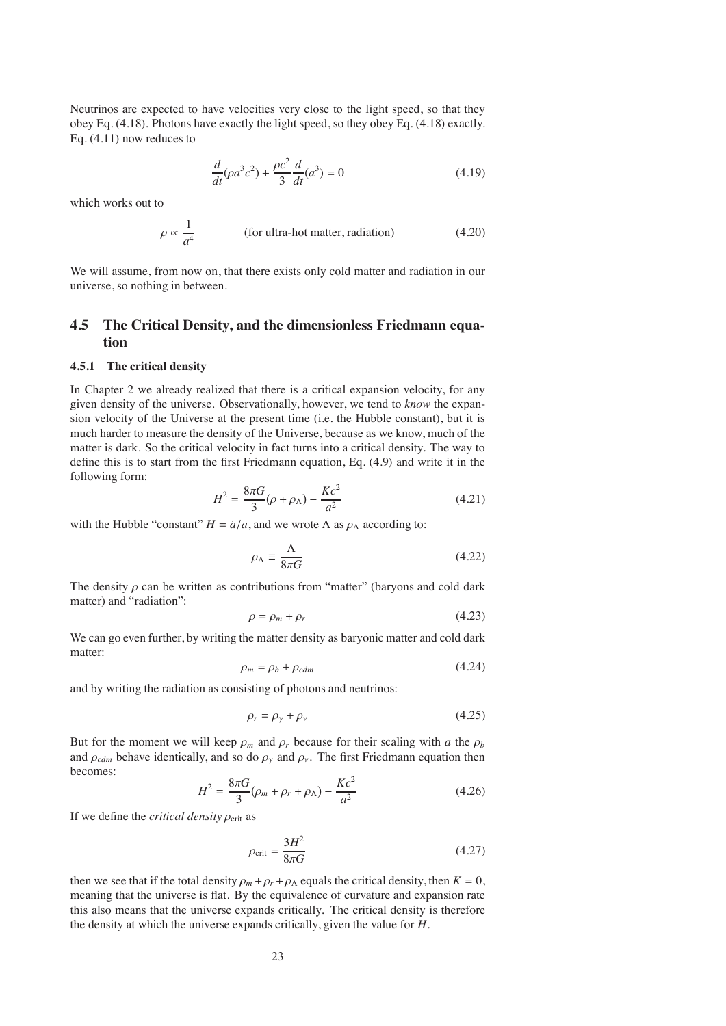Neutrinos are expected to have velocities very close to the light speed, so that they obey Eq. (4.18). Photons have exactly the light speed, so they obey Eq. (4.18) exactly. Eq. (4.11) now reduces to

$$
\frac{d}{dt}(\rho a^3 c^2) + \frac{\rho c^2}{3} \frac{d}{dt}(a^3) = 0
$$
\n(4.19)

which works out to

$$
\rho \propto \frac{1}{a^4}
$$
 (for ultra-hot matter, radiation) (4.20)

We will assume, from now on, that there exists only cold matter and radiation in our universe, so nothing in between.

# **4.5 The Critical Density, and the dimensionless Friedmann equation**

#### **4.5.1 The critical density**

In Chapter 2 we already realized that there is a critical expansion velocity, for any given density of the universe. Observationally, however, we tend to *know* the expansion velocity of the Universe at the present time (i.e. the Hubble constant), but it is much harder to measure the density of the Universe, because as we know, much of the matter is dark. So the critical velocity in fact turns into a critical density. The way to define this is to start from the first Friedmann equation, Eq. (4.9) and write it in the following form:

$$
H^{2} = \frac{8\pi G}{3}(\rho + \rho_{\Lambda}) - \frac{Kc^{2}}{a^{2}}
$$
 (4.21)

with the Hubble "constant"  $H = a/a$ , and we wrote  $\Lambda$  as  $\rho_{\Lambda}$  according to:

$$
\rho_{\Lambda} \equiv \frac{\Lambda}{8\pi G} \tag{4.22}
$$

The density  $\rho$  can be written as contributions from "matter" (baryons and cold dark matter) and "radiation":

$$
\rho = \rho_m + \rho_r \tag{4.23}
$$

We can go even further, by writing the matter density as baryonic matter and cold dark matter:

$$
\rho_m = \rho_b + \rho_{cdm} \tag{4.24}
$$

and by writing the radiation as consisting of photons and neutrinos:

$$
\rho_r = \rho_\gamma + \rho_\nu \tag{4.25}
$$

But for the moment we will keep  $\rho_m$  and  $\rho_r$  because for their scaling with *a* the  $\rho_b$ and  $\rho_{cdm}$  behave identically, and so do  $\rho_{\gamma}$  and  $\rho_{\nu}$ . The first Friedmann equation then becomes:

$$
H^{2} = \frac{8\pi G}{3}(\rho_{m} + \rho_{r} + \rho_{\Lambda}) - \frac{Kc^{2}}{a^{2}}
$$
(4.26)

If we define the *critical density*  $\rho_{\text{crit}}$  as

$$
\rho_{\rm crit} = \frac{3H^2}{8\pi G} \tag{4.27}
$$

then we see that if the total density  $\rho_m + \rho_r + \rho_\Lambda$  equals the critical density, then  $K = 0$ , meaning that the universe is flat. By the equivalence of curvature and expansion rate this also means that the universe expands critically. The critical density is therefore the density at which the universe expands critically, given the value for *H*.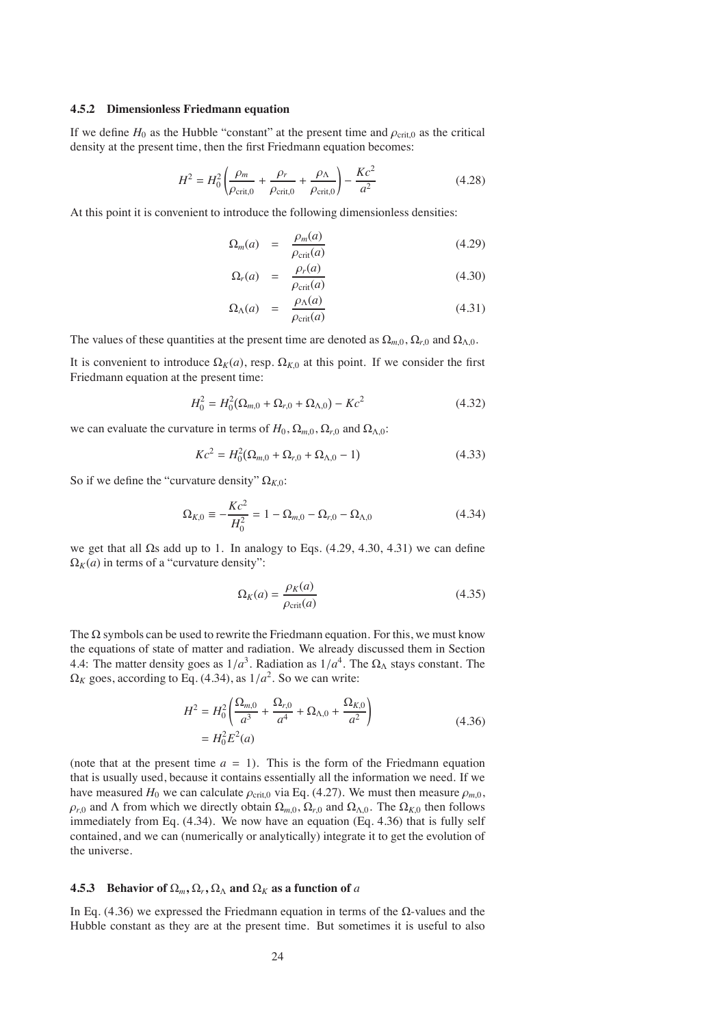#### **4.5.2 Dimensionless Friedmann equation**

If we define  $H_0$  as the Hubble "constant" at the present time and  $\rho_{\rm crit,0}$  as the critical density at the present time, then the first Friedmann equation becomes:

$$
H^2 = H_0^2 \left( \frac{\rho_m}{\rho_{\text{crit},0}} + \frac{\rho_r}{\rho_{\text{crit},0}} + \frac{\rho_\Lambda}{\rho_{\text{crit},0}} \right) - \frac{Kc^2}{a^2}
$$
(4.28)

At this point it is convenient to introduce the following dimensionless densities:

$$
\Omega_m(a) = \frac{\rho_m(a)}{\rho_{\text{crit}}(a)} \tag{4.29}
$$

$$
\Omega_r(a) = \frac{\rho_r(a)}{\rho_{\text{crit}}(a)} \tag{4.30}
$$

$$
\Omega_{\Lambda}(a) = \frac{\rho_{\Lambda}(a)}{\rho_{\rm crit}(a)} \tag{4.31}
$$

The values of these quantities at the present time are denoted as  $\Omega_{m,0}$ ,  $\Omega_{r,0}$  and  $\Omega_{\Lambda,0}$ .

It is convenient to introduce  $\Omega_K(a)$ , resp.  $\Omega_{K,0}$  at this point. If we consider the first Friedmann equation at the present time:

$$
H_0^2 = H_0^2(\Omega_{m,0} + \Omega_{r,0} + \Omega_{\Lambda,0}) - Kc^2
$$
 (4.32)

we can evaluate the curvature in terms of  $H_0$ ,  $\Omega_{m,0}$ ,  $\Omega_{r,0}$  and  $\Omega_{\Lambda,0}$ :

$$
Kc^2 = H_0^2(\Omega_{m,0} + \Omega_{r,0} + \Omega_{\Lambda,0} - 1)
$$
\n(4.33)

So if we define the "curvature density"  $\Omega_{K,0}$ :

$$
\Omega_{K,0} \equiv -\frac{Kc^2}{H_0^2} = 1 - \Omega_{m,0} - \Omega_{r,0} - \Omega_{\Lambda,0}
$$
 (4.34)

we get that all  $\Omega$ s add up to 1. In analogy to Eqs. (4.29, 4.30, 4.31) we can define  $\Omega_K(a)$  in terms of a "curvature density":

$$
\Omega_K(a) = \frac{\rho_K(a)}{\rho_{\text{crit}}(a)}\tag{4.35}
$$

The  $\Omega$  symbols can be used to rewrite the Friedmann equation. For this, we must know the equations of state of matter and radiation. We already discussed them in Section 4.4: The matter density goes as  $1/a<sup>3</sup>$ . Radiation as  $1/a<sup>4</sup>$ . The  $\Omega_{\Lambda}$  stays constant. The  $\Omega_K$  goes, according to Eq. (4.34), as  $1/a^2$ . So we can write:

$$
H^{2} = H_{0}^{2} \left( \frac{\Omega_{m,0}}{a^{3}} + \frac{\Omega_{r,0}}{a^{4}} + \Omega_{\Lambda,0} + \frac{\Omega_{K,0}}{a^{2}} \right)
$$
  
=  $H_{0}^{2} E^{2}(a)$  (4.36)

(note that at the present time  $a = 1$ ). This is the form of the Friedmann equation that is usually used, because it contains essentially all the information we need. If we have measured  $H_0$  we can calculate  $\rho_{\text{crit},0}$  via Eq. (4.27). We must then measure  $\rho_{m,0}$ ,  $\rho_{r,0}$  and  $\Lambda$  from which we directly obtain  $\Omega_{m,0}$ ,  $\Omega_{r,0}$  and  $\Omega_{\Lambda,0}$ . The  $\Omega_{K,0}$  then follows immediately from Eq. (4.34). We now have an equation (Eq. 4.36) that is fully self contained, and we can (numerically or analytically) integrate it to get the evolution of the universe.

#### **4.5.3** Behavior of  $\Omega_m$ ,  $\Omega_r$ ,  $\Omega_\Lambda$  and  $\Omega_K$  as a function of *a*

In Eq. (4.36) we expressed the Friedmann equation in terms of the  $\Omega$ -values and the Hubble constant as they are at the present time. But sometimes it is useful to also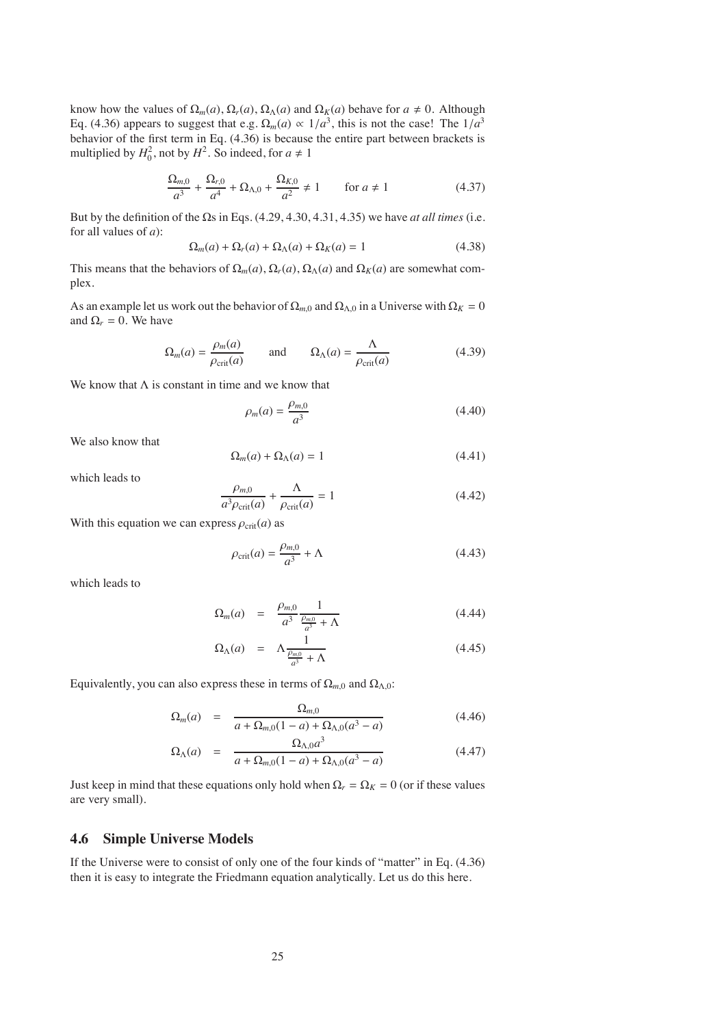know how the values of  $\Omega_m(a)$ ,  $\Omega_r(a)$ ,  $\Omega_\Lambda(a)$  and  $\Omega_K(a)$  behave for  $a \neq 0$ . Although Eq. (4.36) appears to suggest that e.g.  $\Omega_m(a) \propto 1/a^3$ , this is not the case! The  $1/a^3$ behavior of the first term in Eq. (4.36) is because the entire part between brackets is multiplied by  $H_0^2$ , not by  $H^2$ . So indeed, for  $a \neq 1$ 

$$
\frac{\Omega_{m,0}}{a^3} + \frac{\Omega_{r,0}}{a^4} + \Omega_{\Lambda,0} + \frac{\Omega_{K,0}}{a^2} \neq 1 \qquad \text{for } a \neq 1 \tag{4.37}
$$

But by the definition of the Ωs in Eqs. (4.29, 4.30, 4.31, 4.35) we have *at all times* (i.e. for all values of *a*):

$$
\Omega_m(a) + \Omega_r(a) + \Omega_\Lambda(a) + \Omega_K(a) = 1 \tag{4.38}
$$

This means that the behaviors of  $\Omega_m(a), \Omega_r(a), \Omega_\Lambda(a)$  and  $\Omega_K(a)$  are somewhat complex.

As an example let us work out the behavior of  $\Omega_{m,0}$  and  $\Omega_{\Lambda,0}$  in a Universe with  $\Omega_K = 0$ and  $\Omega_r = 0$ . We have

$$
\Omega_m(a) = \frac{\rho_m(a)}{\rho_{\text{crit}}(a)} \quad \text{and} \quad \Omega_\Lambda(a) = \frac{\Lambda}{\rho_{\text{crit}}(a)} \tag{4.39}
$$

We know that  $\Lambda$  is constant in time and we know that

$$
\rho_m(a) = \frac{\rho_{m,0}}{a^3} \tag{4.40}
$$

We also know that

$$
\Omega_m(a) + \Omega_\Lambda(a) = 1 \tag{4.41}
$$

which leads to

$$
\frac{\rho_{m,0}}{a^3 \rho_{\rm crit}(a)} + \frac{\Lambda}{\rho_{\rm crit}(a)} = 1 \tag{4.42}
$$

With this equation we can express  $\rho_{\text{crit}}(a)$  as

$$
\rho_{\rm crit}(a) = \frac{\rho_{m,0}}{a^3} + \Lambda \tag{4.43}
$$

which leads to

$$
\Omega_m(a) = \frac{\rho_{m,0}}{a^3} \frac{1}{\frac{\rho_{m,0}}{a^3} + \Lambda} \tag{4.44}
$$

$$
\Omega_{\Lambda}(a) = \Lambda \frac{1}{\frac{\rho_{m,0}}{a^3} + \Lambda} \tag{4.45}
$$

Equivalently, you can also express these in terms of  $\Omega_{m,0}$  and  $\Omega_{\Lambda,0}$ :

$$
\Omega_m(a) = \frac{\Omega_{m,0}}{a + \Omega_{m,0}(1 - a) + \Omega_{\Lambda,0}(a^3 - a)}
$$
(4.46)

$$
\Omega_{\Lambda}(a) = \frac{\Omega_{\Lambda,0}a^3}{a + \Omega_{m,0}(1-a) + \Omega_{\Lambda,0}(a^3-a)}
$$
(4.47)

Just keep in mind that these equations only hold when  $\Omega_r = \Omega_K = 0$  (or if these values are very small).

# **4.6 Simple Universe Models**

If the Universe were to consist of only one of the four kinds of "matter" in Eq. (4.36) then it is easy to integrate the Friedmann equation analytically. Let us do this here.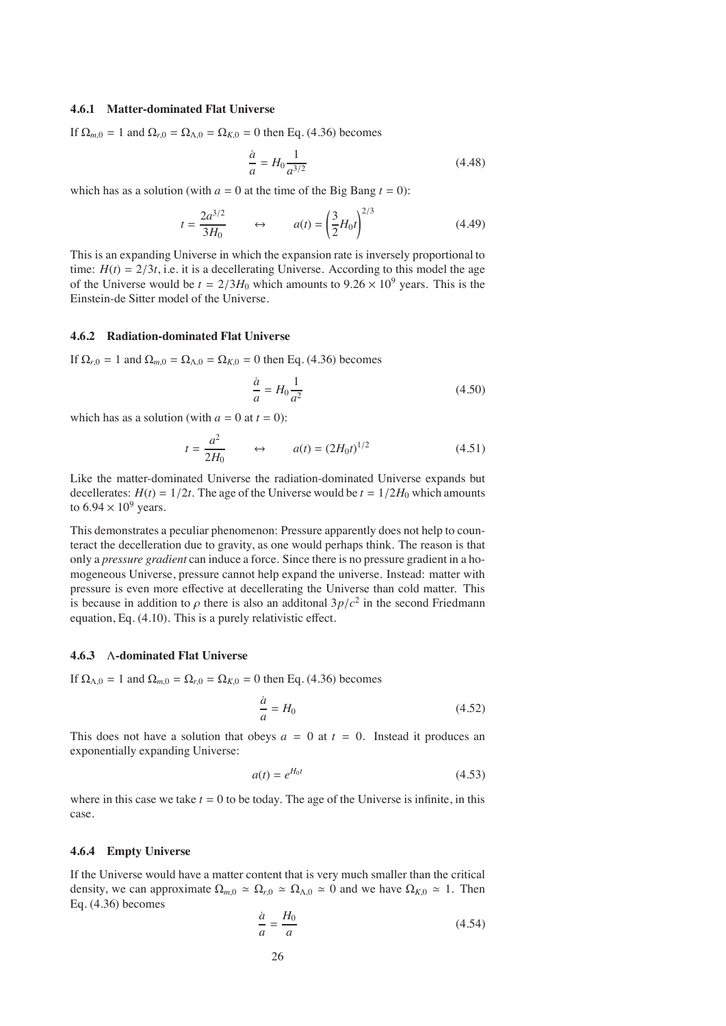#### **4.6.1 Matter-dominated Flat Universe**

If  $\Omega_{m,0} = 1$  and  $\Omega_{r,0} = \Omega_{\Lambda,0} = \Omega_{K,0} = 0$  then Eq. (4.36) becomes

$$
\frac{\dot{a}}{a} = H_0 \frac{1}{a^{3/2}}\tag{4.48}
$$

which has as a solution (with  $a = 0$  at the time of the Big Bang  $t = 0$ ):

$$
t = \frac{2a^{3/2}}{3H_0} \qquad \leftrightarrow \qquad a(t) = \left(\frac{3}{2}H_0t\right)^{2/3} \tag{4.49}
$$

This is an expanding Universe in which the expansion rate is inversely proportional to time:  $H(t) = 2/3t$ , i.e. it is a decellerating Universe. According to this model the age of the Universe would be  $t = 2/3H_0$  which amounts to  $9.26 \times 10^9$  years. This is the Einstein-de Sitter model of the Universe.

#### **4.6.2 Radiation-dominated Flat Universe**

If  $\Omega_{r,0} = 1$  and  $\Omega_{m,0} = \Omega_{\Lambda,0} = \Omega_{K,0} = 0$  then Eq. (4.36) becomes

$$
\frac{\dot{a}}{a} = H_0 \frac{1}{a^2} \tag{4.50}
$$

which has as a solution (with  $a = 0$  at  $t = 0$ ):

$$
t = \frac{a^2}{2H_0}
$$
  $\leftrightarrow$   $a(t) = (2H_0t)^{1/2}$  (4.51)

Like the matter-dominated Universe the radiation-dominated Universe expands but decellerates:  $H(t) = 1/2t$ . The age of the Universe would be  $t = 1/2H_0$  which amounts to  $6.94 \times 10^9$  years.

This demonstrates a peculiar phenomenon: Pressure apparently does not help to counteract the decelleration due to gravity, as one would perhaps think. The reason is that only a *pressure gradient* can induce a force. Since there is no pressure gradient in a homogeneous Universe, pressure cannot help expand the universe. Instead: matter with pressure is even more effective at decellerating the Universe than cold matter. This is because in addition to  $\rho$  there is also an additonal  $3p/c^2$  in the second Friedmann equation, Eq. (4.10). This is a purely relativistic effect.

# **4.6.3** Λ**-dominated Flat Universe**

If  $\Omega_{\Lambda,0} = 1$  and  $\Omega_{m,0} = \Omega_{r,0} = \Omega_{K,0} = 0$  then Eq. (4.36) becomes

$$
\frac{\dot{a}}{a} = H_0 \tag{4.52}
$$

This does not have a solution that obeys  $a = 0$  at  $t = 0$ . Instead it produces an exponentially expanding Universe:

$$
a(t) = e^{H_0 t} \tag{4.53}
$$

where in this case we take  $t = 0$  to be today. The age of the Universe is infinite, in this case.

#### **4.6.4 Empty Universe**

If the Universe would have a matter content that is very much smaller than the critical density, we can approximate  $\Omega_{m,0} \simeq \Omega_{r,0} \simeq \Omega_{\Lambda,0} \simeq 0$  and we have  $\Omega_{K,0} \simeq 1$ . Then Eq. (4.36) becomes

$$
\frac{\dot{a}}{a} = \frac{H_0}{a} \tag{4.54}
$$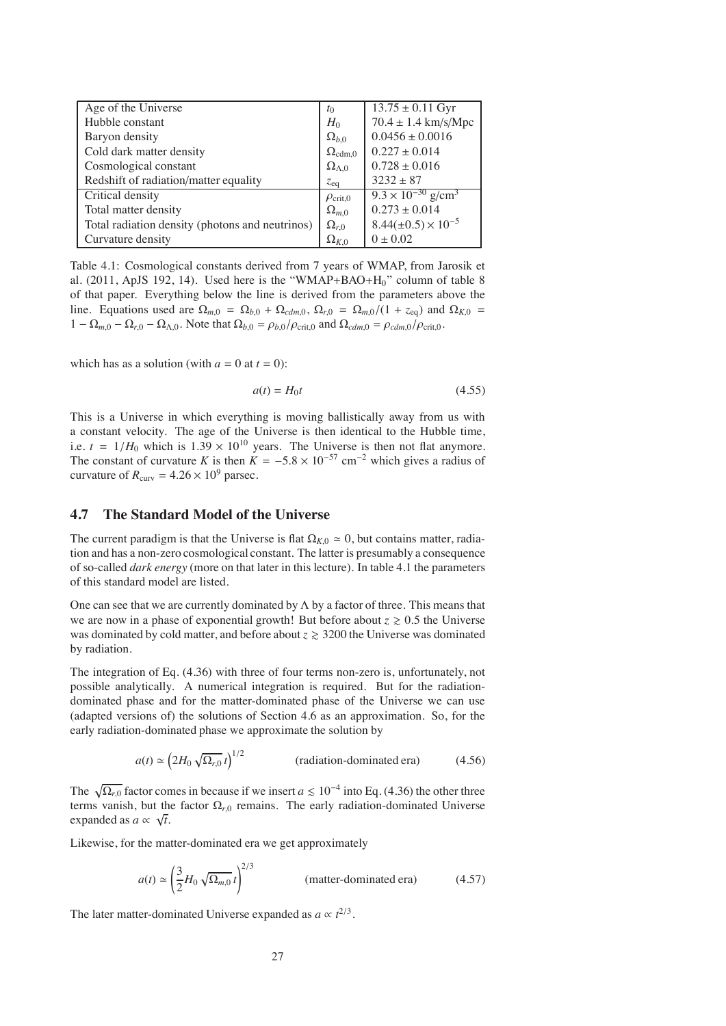| Age of the Universe                             | $t_0$                  | $13.75 \pm 0.11$ Gyr                    |
|-------------------------------------------------|------------------------|-----------------------------------------|
| Hubble constant                                 | $H_0$                  | $70.4 \pm 1.4 \text{ km/s/Mpc}$         |
| Baryon density                                  | $\Omega_{b,0}$         | $0.0456 \pm 0.0016$                     |
| Cold dark matter density                        | $\Omega_{\rm cdm,0}$   | $0.227 \pm 0.014$                       |
| Cosmological constant                           | $\Omega_{\Lambda,0}$   | $0.728 \pm 0.016$                       |
| Redshift of radiation/matter equality           | $z_{eq}$               | $3232 \pm 87$                           |
| Critical density                                | $\rho_{\text{crit,0}}$ | $9.3 \times 10^{-30}$ g/cm <sup>3</sup> |
| Total matter density                            | $\Omega_{m,0}$         | $0.273 \pm 0.014$                       |
| Total radiation density (photons and neutrinos) | $\Omega_{r,0}$         | $8.44(\pm 0.5) \times 10^{-5}$          |
| Curvature density                               | $\Omega_{K,0}$         | $0 \pm 0.02$                            |

Table 4.1: Cosmological constants derived from 7 years of WMAP, from Jarosik et al. (2011, ApJS 192, 14). Used here is the "WMAP+BAO+H0" column of table 8 of that paper. Everything below the line is derived from the parameters above the line. Equations used are  $\Omega_{m,0} = \Omega_{b,0} + \Omega_{cdm,0}$ ,  $\Omega_{r,0} = \Omega_{m,0}/(1 + z_{eq})$  and  $\Omega_{K,0} =$  $1 - \Omega_{m,0} - \Omega_{r,0} - \Omega_{\Lambda,0}$ . Note that  $\Omega_{b,0} = \rho_{b,0}/\rho_{\text{crit},0}$  and  $\Omega_{cdm,0} = \rho_{cdm,0}/\rho_{\text{crit},0}$ .

which has as a solution (with  $a = 0$  at  $t = 0$ ):

$$
a(t) = H_0 t \tag{4.55}
$$

This is a Universe in which everything is moving ballistically away from us with a constant velocity. The age of the Universe is then identical to the Hubble time, i.e.  $t = 1/H_0$  which is  $1.39 \times 10^{10}$  years. The Universe is then not flat anymore. The constant of curvature *K* is then  $K = -5.8 \times 10^{-57}$  cm<sup>-2</sup> which gives a radius of curvature of  $R_{\text{curv}} = 4.26 \times 10^9$  parsec.

# **4.7 The Standard Model of the Universe**

The current paradigm is that the Universe is flat  $\Omega_{K,0} \simeq 0$ , but contains matter, radiation and has a non-zero cosmological constant. The latter is presumably a consequence of so-called *dark energy* (more on that later in this lecture). In table 4.1 the parameters of this standard model are listed.

One can see that we are currently dominated by  $\Lambda$  by a factor of three. This means that we are now in a phase of exponential growth! But before about  $z \ge 0.5$  the Universe was dominated by cold matter, and before about  $z \geq 3200$  the Universe was dominated by radiation.

The integration of Eq. (4.36) with three of four terms non-zero is, unfortunately, not possible analytically. A numerical integration is required. But for the radiationdominated phase and for the matter-dominated phase of the Universe we can use (adapted versions of) the solutions of Section 4.6 as an approximation. So, for the early radiation-dominated phase we approximate the solution by

$$
a(t) \simeq \left(2H_0 \sqrt{\Omega_{r,0}} \, t\right)^{1/2} \qquad \qquad \text{(radiation-dominated era)} \tag{4.56}
$$

The  $\sqrt{\Omega_{r,0}}$  factor comes in because if we insert *a*  $\leq 10^{-4}$  into Eq. (4.36) the other three terms vanish, but the factor  $\Omega_{r,0}$  remains. The early radiation-dominated Universe expanded as  $\alpha \propto \sqrt{t}$ .

Likewise, for the matter-dominated era we get approximately

$$
a(t) \simeq \left(\frac{3}{2}H_0\sqrt{\Omega_{m,0}}\,t\right)^{2/3} \qquad \text{(matter-dominated era)} \tag{4.57}
$$

The later matter-dominated Universe expanded as  $a \propto t^{2/3}$ .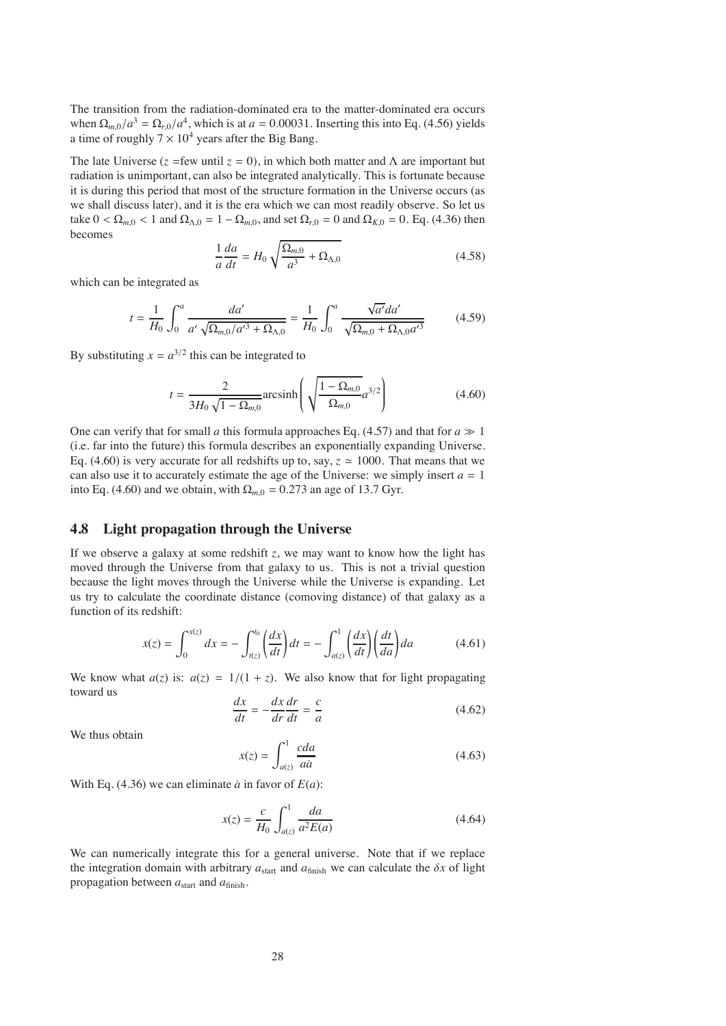The transition from the radiation-dominated era to the matter-dominated era occurs when  $\Omega_{m,0}/a^3 = \Omega_{r,0}/a^4$ , which is at  $a = 0.00031$ . Inserting this into Eq. (4.56) yields a time of roughly  $7 \times 10^4$  years after the Big Bang.

The late Universe ( $\zeta$  =few until  $\zeta$  = 0), in which both matter and  $\Lambda$  are important but radiation is unimportant, can also be integrated analytically. This is fortunate because it is during this period that most of the structure formation in the Universe occurs (as we shall discuss later), and it is the era which we can most readily observe. So let us take  $0 < \Omega_{m,0} < 1$  and  $\Omega_{\Lambda,0} = 1 - \Omega_{m,0}$ , and set  $\Omega_{r,0} = 0$  and  $\Omega_{K,0} = 0$ . Eq. (4.36) then becomes

$$
\frac{1}{a}\frac{da}{dt} = H_0 \sqrt{\frac{\Omega_{m,0}}{a^3} + \Omega_{\Lambda,0}}\tag{4.58}
$$

which can be integrated as

$$
t = \frac{1}{H_0} \int_0^a \frac{da'}{a' \sqrt{\Omega_{m,0}/a'^3 + \Omega_{\Lambda,0}}} = \frac{1}{H_0} \int_0^a \frac{\sqrt{a'}da'}{\sqrt{\Omega_{m,0} + \Omega_{\Lambda,0}a'^3}} \tag{4.59}
$$

By substituting  $x = a^{3/2}$  this can be integrated to

$$
t = \frac{2}{3H_0\sqrt{1-\Omega_{m,0}}} \text{arcsinh}\left(\sqrt{\frac{1-\Omega_{m,0}}{\Omega_{m,0}}}a^{3/2}\right)
$$
(4.60)

One can verify that for small *a* this formula approaches Eq. (4.57) and that for  $a \gg 1$ (i.e. far into the future) this formula describes an exponentially expanding Universe. Eq. (4.60) is very accurate for all redshifts up to, say,  $z \approx 1000$ . That means that we can also use it to accurately estimate the age of the Universe: we simply insert  $a = 1$ into Eq. (4.60) and we obtain, with  $\Omega_{m,0} = 0.273$  an age of 13.7 Gyr.

# **4.8 Light propagation through the Universe**

If we observe a galaxy at some redshift *z*, we may want to know how the light has moved through the Universe from that galaxy to us. This is not a trivial question because the light moves through the Universe while the Universe is expanding. Let us try to calculate the coordinate distance (comoving distance) of that galaxy as a function of its redshift:

$$
x(z) = \int_0^{x(z)} dx = -\int_{t(z)}^{t_0} \left(\frac{dx}{dt}\right) dt = -\int_{a(z)}^1 \left(\frac{dx}{dt}\right) \left(\frac{dt}{da}\right) da \tag{4.61}
$$

We know what  $a(z)$  is:  $a(z) = 1/(1 + z)$ . We also know that for light propagating toward us

$$
\frac{dx}{dt} = -\frac{dx}{dr}\frac{dr}{dt} = \frac{c}{a}
$$
\n(4.62)

We thus obtain

$$
x(z) = \int_{a(z)}^{1} \frac{cda}{a\dot{a}} \tag{4.63}
$$

With Eq. (4.36) we can eliminate  $\dot{a}$  in favor of  $E(a)$ :

$$
x(z) = \frac{c}{H_0} \int_{a(z)}^1 \frac{da}{a^2 E(a)}
$$
(4.64)

We can numerically integrate this for a general universe. Note that if we replace the integration domain with arbitrary  $a_{\text{start}}$  and  $a_{\text{finish}}$  we can calculate the  $\delta x$  of light propagation between  $a_{\text{start}}$  and  $a_{\text{finish}}$ .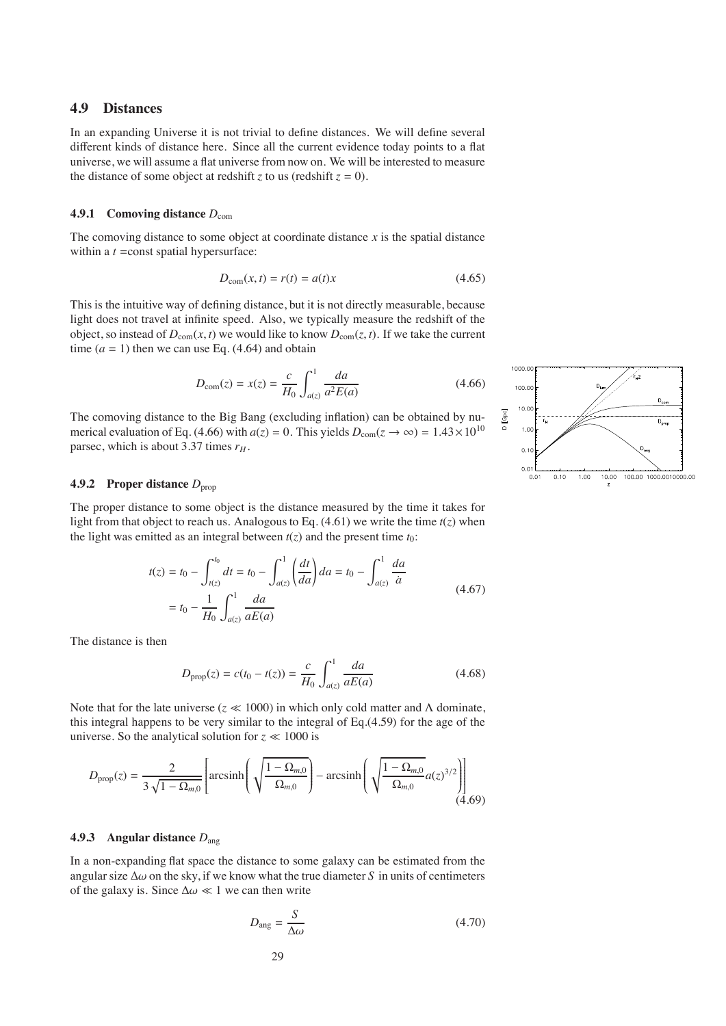# **4.9 Distances**

In an expanding Universe it is not trivial to define distances. We will define several different kinds of distance here. Since all the current evidence today points to a flat universe, we will assume a flat universe from now on. We will be interested to measure the distance of some object at redshift *z* to us (redshift  $z = 0$ ).

#### **4.9.1 Comoving distance**  $D_{com}$

The comoving distance to some object at coordinate distance  $x$  is the spatial distance within a *t* = const spatial hypersurface:

$$
D_{\text{com}}(x,t) = r(t) = a(t)x\tag{4.65}
$$

This is the intuitive way of defining distance, but it is not directly measurable, because light does not travel at infinite speed. Also, we typically measure the redshift of the object, so instead of  $D_{com}(x, t)$  we would like to know  $D_{com}(z, t)$ . If we take the current time  $(a = 1)$  then we can use Eq.  $(4.64)$  and obtain

$$
D_{\text{com}}(z) = x(z) = \frac{c}{H_0} \int_{a(z)}^1 \frac{da}{a^2 E(a)} \tag{4.66}
$$

The comoving distance to the Big Bang (excluding inflation) can be obtained by numerical evaluation of Eq. (4.66) with  $a(z) = 0$ . This yields  $D_{com}(z \to \infty) = 1.43 \times 10^{10}$ parsec, which is about 3.37 times  $r_H$ .

## **4.9.2 Proper distance**  $D_{\text{prop}}$

The proper distance to some object is the distance measured by the time it takes for light from that object to reach us. Analogous to Eq.  $(4.61)$  we write the time  $t(z)$  when the light was emitted as an integral between  $t(z)$  and the present time  $t_0$ :

$$
t(z) = t_0 - \int_{t(z)}^{t_0} dt = t_0 - \int_{a(z)}^1 \left(\frac{dt}{da}\right) da = t_0 - \int_{a(z)}^1 \frac{da}{a}
$$
  
=  $t_0 - \frac{1}{H_0} \int_{a(z)}^1 \frac{da}{aE(a)}$  (4.67)

The distance is then

$$
D_{\text{prop}}(z) = c(t_0 - t(z)) = \frac{c}{H_0} \int_{a(z)}^1 \frac{da}{aE(a)}
$$
(4.68)

Note that for the late universe ( $z \ll 1000$ ) in which only cold matter and  $\Lambda$  dominate, this integral happens to be very similar to the integral of Eq.(4.59) for the age of the universe. So the analytical solution for  $z \ll 1000$  is

$$
D_{\text{prop}}(z) = \frac{2}{3\sqrt{1 - \Omega_{m,0}}} \left[ \arcsinh\left(\sqrt{\frac{1 - \Omega_{m,0}}{\Omega_{m,0}}}\right) - \arcsinh\left(\sqrt{\frac{1 - \Omega_{m,0}}{\Omega_{m,0}}}a(z)^{3/2}\right) \right] \tag{4.69}
$$

#### **4.9.3 Angular distance** *D*ang

In a non-expanding flat space the distance to some galaxy can be estimated from the angular size  $\Delta\omega$  on the sky, if we know what the true diameter *S* in units of centimeters of the galaxy is. Since  $\Delta \omega \ll 1$  we can then write

$$
D_{\text{ang}} = \frac{S}{\Delta \omega} \tag{4.70}
$$

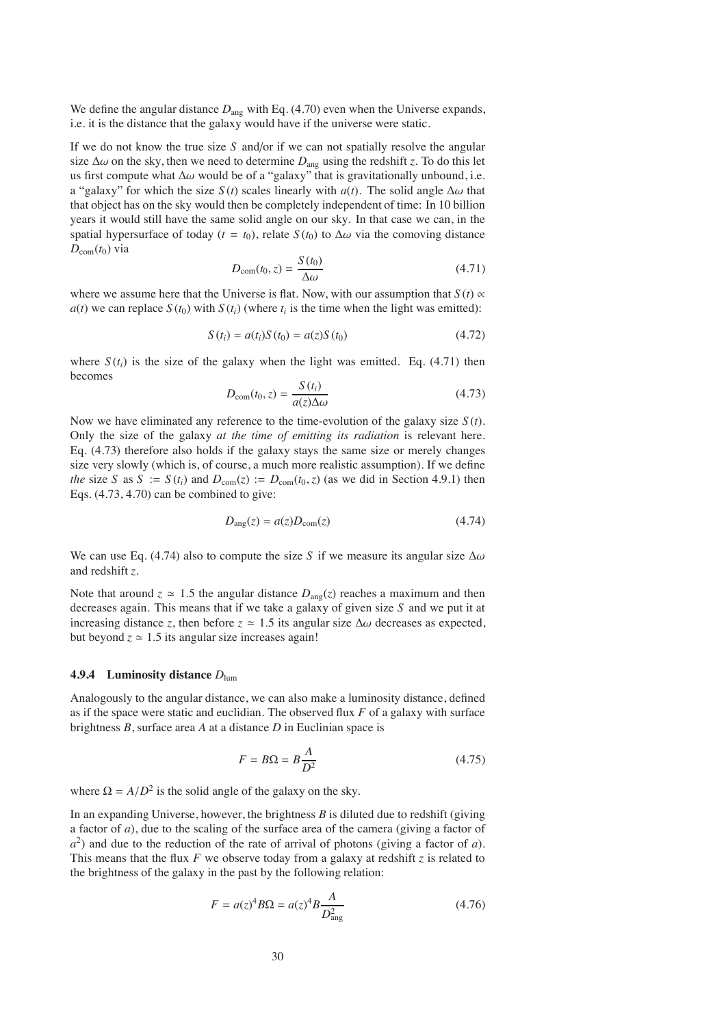We define the angular distance  $D_{\text{ang}}$  with Eq. (4.70) even when the Universe expands, i.e. it is the distance that the galaxy would have if the universe were static.

If we do not know the true size *S* and/or if we can not spatially resolve the angular size  $\Delta\omega$  on the sky, then we need to determine  $D_{\text{ang}}$  using the redshift *z*. To do this let us first compute what  $\Delta\omega$  would be of a "galaxy" that is gravitationally unbound, i.e. a "galaxy" for which the size  $S(t)$  scales linearly with  $a(t)$ . The solid angle  $\Delta \omega$  that that object has on the sky would then be completely independent of time: In 10 billion years it would still have the same solid angle on our sky. In that case we can, in the spatial hypersurface of today ( $t = t_0$ ), relate  $S(t_0)$  to  $\Delta \omega$  via the comoving distance  $D_{\text{com}}(t_0)$  via

$$
D_{\text{com}}(t_0, z) = \frac{S(t_0)}{\Delta \omega} \tag{4.71}
$$

where we assume here that the Universe is flat. Now, with our assumption that  $S(t) \propto$  $a(t)$  we can replace  $S(t_0)$  with  $S(t_i)$  (where  $t_i$  is the time when the light was emitted):

$$
S(ti) = a(ti)S(t0) = a(z)S(t0)
$$
\n(4.72)

where  $S(t_i)$  is the size of the galaxy when the light was emitted. Eq. (4.71) then becomes

$$
D_{\text{com}}(t_0, z) = \frac{S(t_i)}{a(z)\Delta\omega} \tag{4.73}
$$

Now we have eliminated any reference to the time-evolution of the galaxy size *S* (*t*). Only the size of the galaxy *at the time of emitting its radiation* is relevant here. Eq. (4.73) therefore also holds if the galaxy stays the same size or merely changes size very slowly (which is, of course, a much more realistic assumption). If we define *the* size *S* as *S* :=  $S(t_i)$  and  $D_{com}(z)$  :=  $D_{com}(t_0, z)$  (as we did in Section 4.9.1) then Eqs. (4.73, 4.70) can be combined to give:

$$
D_{\text{ang}}(z) = a(z)D_{\text{com}}(z) \tag{4.74}
$$

We can use Eq. (4.74) also to compute the size *S* if we measure its angular size  $\Delta\omega$ and redshift *z*.

Note that around  $z \approx 1.5$  the angular distance  $D_{\text{ano}}(z)$  reaches a maximum and then decreases again. This means that if we take a galaxy of given size *S* and we put it at increasing distance *z*, then before  $z \approx 1.5$  its angular size  $\Delta \omega$  decreases as expected, but beyond  $z \approx 1.5$  its angular size increases again!

#### **4.9.4 Luminosity distance** *D*lum

Analogously to the angular distance, we can also make a luminosity distance, defined as if the space were static and euclidian. The observed flux *F* of a galaxy with surface brightness *B*, surface area *A* at a distance *D* in Euclinian space is

$$
F = B\Omega = B\frac{A}{D^2} \tag{4.75}
$$

where  $\Omega = A/D^2$  is the solid angle of the galaxy on the sky.

In an expanding Universe, however, the brightness  $B$  is diluted due to redshift (giving a factor of *a*), due to the scaling of the surface area of the camera (giving a factor of *a*2) and due to the reduction of the rate of arrival of photons (giving a factor of *a*). This means that the flux *F* we observe today from a galaxy at redshift *z* is related to the brightness of the galaxy in the past by the following relation:

$$
F = a(z)^{4} B \Omega = a(z)^{4} B \frac{A}{D_{\text{ang}}^{2}}
$$
 (4.76)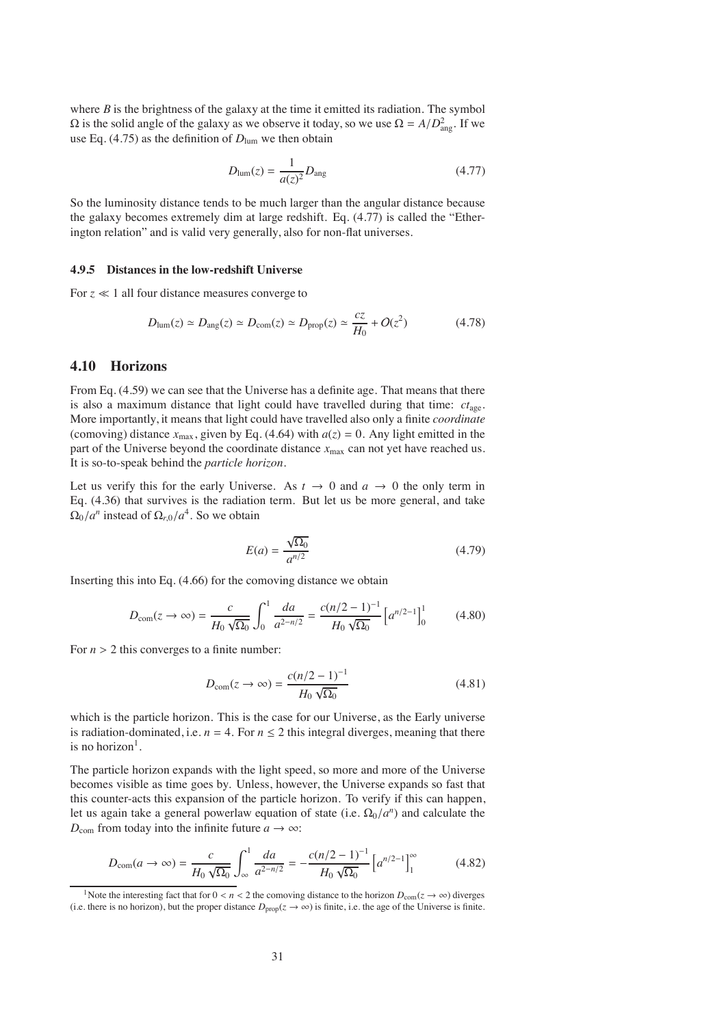where  $B$  is the brightness of the galaxy at the time it emitted its radiation. The symbol  $\Omega$  is the solid angle of the galaxy as we observe it today, so we use  $\Omega = A/D_{\text{ang}}^2$ . If we use Eq. (4.75) as the definition of  $D_{\text{lum}}$  we then obtain

$$
D_{\text{lum}}(z) = \frac{1}{a(z)^2} D_{\text{ang}}
$$
 (4.77)

So the luminosity distance tends to be much larger than the angular distance because the galaxy becomes extremely dim at large redshift. Eq. (4.77) is called the "Etherington relation" and is valid very generally, also for non-flat universes.

#### **4.9.5 Distances in the low-redshift Universe**

For  $z \ll 1$  all four distance measures converge to

$$
D_{\text{lum}}(z) \simeq D_{\text{ang}}(z) \simeq D_{\text{com}}(z) \simeq D_{\text{prop}}(z) \simeq \frac{cz}{H_0} + O(z^2)
$$
 (4.78)

# **4.10 Horizons**

From Eq. (4.59) we can see that the Universe has a definite age. That means that there is also a maximum distance that light could have travelled during that time: *ct*age. More importantly, it means that light could have travelled also only a finite *coordinate* (comoving) distance  $x_{\text{max}}$ , given by Eq. (4.64) with  $a(z) = 0$ . Any light emitted in the part of the Universe beyond the coordinate distance  $x_{\text{max}}$  can not yet have reached us. It is so-to-speak behind the *particle horizon*.

Let us verify this for the early Universe. As  $t \to 0$  and  $a \to 0$  the only term in Eq. (4.36) that survives is the radiation term. But let us be more general, and take  $\Omega_0/a^n$  instead of  $\Omega_{r,0}/a^4$ . So we obtain

$$
E(a) = \frac{\sqrt{\Omega_0}}{a^{n/2}}\tag{4.79}
$$

Inserting this into Eq. (4.66) for the comoving distance we obtain

$$
D_{\text{com}}(z \to \infty) = \frac{c}{H_0 \sqrt{\Omega_0}} \int_0^1 \frac{da}{a^{2-n/2}} = \frac{c(n/2 - 1)^{-1}}{H_0 \sqrt{\Omega_0}} \left[a^{n/2 - 1}\right]_0^1 \tag{4.80}
$$

For  $n > 2$  this converges to a finite number:

$$
D_{\text{com}}(z \to \infty) = \frac{c(n/2 - 1)^{-1}}{H_0 \sqrt{\Omega_0}}
$$
(4.81)

which is the particle horizon. This is the case for our Universe, as the Early universe is radiation-dominated, i.e.  $n = 4$ . For  $n \le 2$  this integral diverges, meaning that there is no horizon<sup>1</sup>.

The particle horizon expands with the light speed, so more and more of the Universe becomes visible as time goes by. Unless, however, the Universe expands so fast that this counter-acts this expansion of the particle horizon. To verify if this can happen, let us again take a general powerlaw equation of state (i.e.  $\Omega_0/a^n$ ) and calculate the  $D_{\text{com}}$  from today into the infinite future  $a \rightarrow \infty$ :

$$
D_{\text{com}}(a \to \infty) = \frac{c}{H_0 \sqrt{\Omega_0}} \int_{\infty}^{1} \frac{da}{a^{2-n/2}} = -\frac{c(n/2-1)^{-1}}{H_0 \sqrt{\Omega_0}} \left[a^{n/2-1}\right]_1^{\infty}
$$
(4.82)

<sup>&</sup>lt;sup>1</sup>Note the interesting fact that for  $0 < n < 2$  the comoving distance to the horizon  $D_{com}(z \to \infty)$  diverges (i.e. there is no horizon), but the proper distance  $D_{\text{prop}}(z \to \infty)$  is finite, i.e. the age of the Universe is finite.